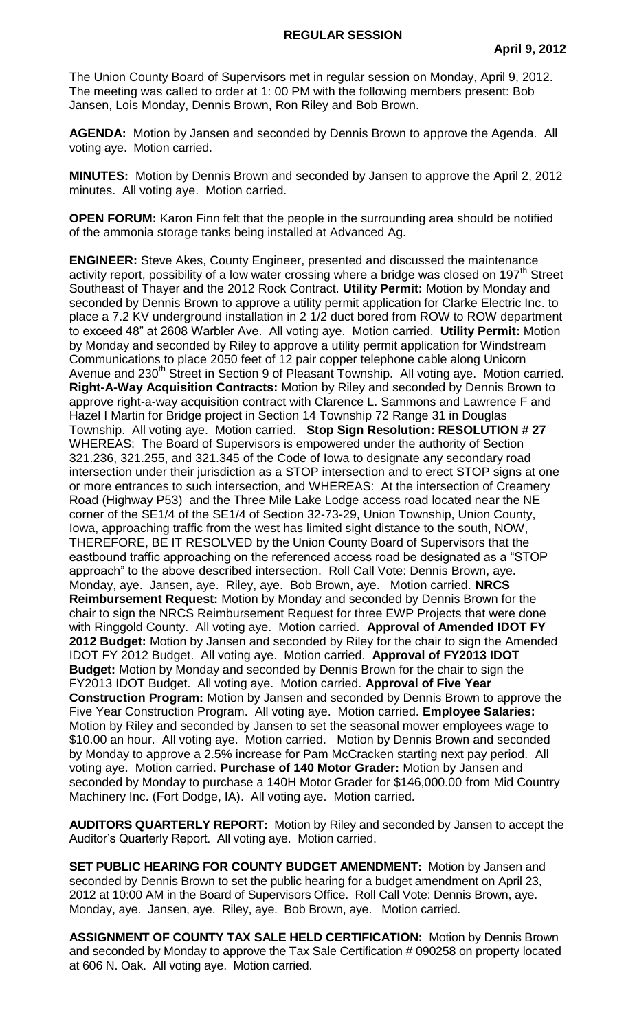The Union County Board of Supervisors met in regular session on Monday, April 9, 2012. The meeting was called to order at 1: 00 PM with the following members present: Bob Jansen, Lois Monday, Dennis Brown, Ron Riley and Bob Brown.

**AGENDA:** Motion by Jansen and seconded by Dennis Brown to approve the Agenda. All voting aye. Motion carried.

**MINUTES:** Motion by Dennis Brown and seconded by Jansen to approve the April 2, 2012 minutes. All voting aye. Motion carried.

**OPEN FORUM:** Karon Finn felt that the people in the surrounding area should be notified of the ammonia storage tanks being installed at Advanced Ag.

**ENGINEER:** Steve Akes, County Engineer, presented and discussed the maintenance activity report, possibility of a low water crossing where a bridge was closed on 197 $<sup>th</sup>$  Street</sup> Southeast of Thayer and the 2012 Rock Contract. **Utility Permit:** Motion by Monday and seconded by Dennis Brown to approve a utility permit application for Clarke Electric Inc. to place a 7.2 KV underground installation in 2 1/2 duct bored from ROW to ROW department to exceed 48" at 2608 Warbler Ave. All voting aye. Motion carried. **Utility Permit:** Motion by Monday and seconded by Riley to approve a utility permit application for Windstream Communications to place 2050 feet of 12 pair copper telephone cable along Unicorn Avenue and 230<sup>th</sup> Street in Section 9 of Pleasant Township. All voting aye. Motion carried. **Right-A-Way Acquisition Contracts:** Motion by Riley and seconded by Dennis Brown to approve right-a-way acquisition contract with Clarence L. Sammons and Lawrence F and Hazel I Martin for Bridge project in Section 14 Township 72 Range 31 in Douglas Township. All voting aye. Motion carried. **Stop Sign Resolution: RESOLUTION # 27** WHEREAS: The Board of Supervisors is empowered under the authority of Section 321.236, 321.255, and 321.345 of the Code of Iowa to designate any secondary road intersection under their jurisdiction as a STOP intersection and to erect STOP signs at one or more entrances to such intersection, and WHEREAS: At the intersection of Creamery Road (Highway P53) and the Three Mile Lake Lodge access road located near the NE corner of the SE1/4 of the SE1/4 of Section 32-73-29, Union Township, Union County, Iowa, approaching traffic from the west has limited sight distance to the south, NOW, THEREFORE, BE IT RESOLVED by the Union County Board of Supervisors that the eastbound traffic approaching on the referenced access road be designated as a "STOP approach" to the above described intersection. Roll Call Vote: Dennis Brown, aye. Monday, aye. Jansen, aye. Riley, aye. Bob Brown, aye. Motion carried. **NRCS Reimbursement Request:** Motion by Monday and seconded by Dennis Brown for the chair to sign the NRCS Reimbursement Request for three EWP Projects that were done with Ringgold County. All voting aye. Motion carried. **Approval of Amended IDOT FY 2012 Budget:** Motion by Jansen and seconded by Riley for the chair to sign the Amended IDOT FY 2012 Budget. All voting aye. Motion carried. **Approval of FY2013 IDOT Budget:** Motion by Monday and seconded by Dennis Brown for the chair to sign the FY2013 IDOT Budget. All voting aye. Motion carried. **Approval of Five Year Construction Program:** Motion by Jansen and seconded by Dennis Brown to approve the Five Year Construction Program. All voting aye. Motion carried. **Employee Salaries:** Motion by Riley and seconded by Jansen to set the seasonal mower employees wage to \$10.00 an hour. All voting aye. Motion carried. Motion by Dennis Brown and seconded by Monday to approve a 2.5% increase for Pam McCracken starting next pay period. All voting aye. Motion carried. **Purchase of 140 Motor Grader:** Motion by Jansen and seconded by Monday to purchase a 140H Motor Grader for \$146,000.00 from Mid Country Machinery Inc. (Fort Dodge, IA). All voting aye. Motion carried.

**AUDITORS QUARTERLY REPORT:** Motion by Riley and seconded by Jansen to accept the Auditor's Quarterly Report. All voting aye. Motion carried.

**SET PUBLIC HEARING FOR COUNTY BUDGET AMENDMENT:** Motion by Jansen and seconded by Dennis Brown to set the public hearing for a budget amendment on April 23, 2012 at 10:00 AM in the Board of Supervisors Office. Roll Call Vote: Dennis Brown, aye. Monday, aye. Jansen, aye. Riley, aye. Bob Brown, aye. Motion carried.

**ASSIGNMENT OF COUNTY TAX SALE HELD CERTIFICATION:** Motion by Dennis Brown and seconded by Monday to approve the Tax Sale Certification # 090258 on property located at 606 N. Oak. All voting aye. Motion carried.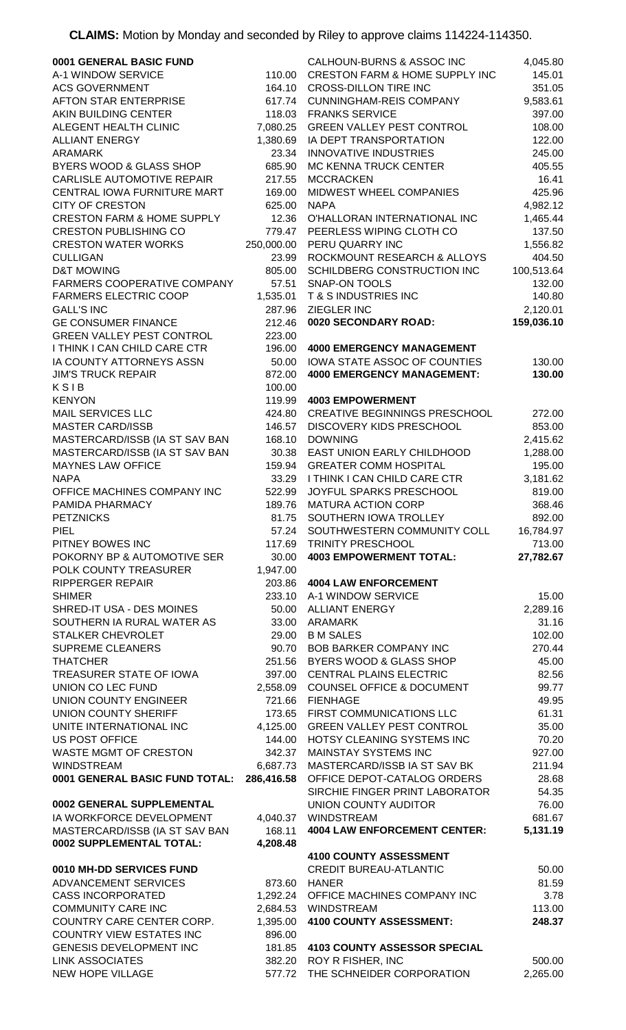**CLAIMS:** Motion by Monday and seconded by Riley to approve claims 114224-114350.

| 0001 GENERAL BASIC FUND                    |            | CALHOUN-BURNS & ASSOC INC                                    | 4,045.80           |
|--------------------------------------------|------------|--------------------------------------------------------------|--------------------|
| A-1 WINDOW SERVICE                         | 110.00     | <b>CRESTON FARM &amp; HOME SUPPLY INC</b>                    | 145.01             |
| <b>ACS GOVERNMENT</b>                      | 164.10     | <b>CROSS-DILLON TIRE INC</b>                                 | 351.05             |
| AFTON STAR ENTERPRISE                      | 617.74     | <b>CUNNINGHAM-REIS COMPANY</b>                               | 9,583.61           |
| AKIN BUILDING CENTER                       |            | 118.03 FRANKS SERVICE                                        | 397.00             |
| ALEGENT HEALTH CLINIC                      | 7,080.25   | <b>GREEN VALLEY PEST CONTROL</b>                             | 108.00             |
|                                            |            |                                                              |                    |
| <b>ALLIANT ENERGY</b>                      | 1,380.69   | IA DEPT TRANSPORTATION                                       | 122.00             |
| ARAMARK                                    | 23.34      | <b>INNOVATIVE INDUSTRIES</b>                                 | 245.00             |
| BYERS WOOD & GLASS SHOP                    | 685.90     | MC KENNA TRUCK CENTER                                        | 405.55             |
| <b>CARLISLE AUTOMOTIVE REPAIR</b>          | 217.55     | <b>MCCRACKEN</b>                                             | 16.41              |
| CENTRAL IOWA FURNITURE MART                | 169.00     | MIDWEST WHEEL COMPANIES                                      | 425.96             |
| <b>CITY OF CRESTON</b>                     | 625.00     | <b>NAPA</b>                                                  | 4,982.12           |
| <b>CRESTON FARM &amp; HOME SUPPLY</b>      | 12.36      | O'HALLORAN INTERNATIONAL INC                                 | 1,465.44           |
| <b>CRESTON PUBLISHING CO</b>               | 779.47     | PEERLESS WIPING CLOTH CO                                     | 137.50             |
| <b>CRESTON WATER WORKS</b>                 | 250,000.00 | PERU QUARRY INC                                              | 1,556.82           |
| <b>CULLIGAN</b>                            | 23.99      | ROCKMOUNT RESEARCH & ALLOYS                                  | 404.50             |
|                                            |            |                                                              |                    |
| <b>D&amp;T MOWING</b>                      | 805.00     | SCHILDBERG CONSTRUCTION INC                                  | 100,513.64         |
| FARMERS COOPERATIVE COMPANY                | 57.51      | <b>SNAP-ON TOOLS</b>                                         | 132.00             |
| <b>FARMERS ELECTRIC COOP</b>               | 1,535.01   | T & S INDUSTRIES INC                                         | 140.80             |
| <b>GALL'S INC</b>                          | 287.96     | ZIEGLER INC                                                  | 2,120.01           |
| <b>GE CONSUMER FINANCE</b>                 | 212.46     | 0020 SECONDARY ROAD:                                         | 159,036.10         |
| <b>GREEN VALLEY PEST CONTROL</b>           | 223.00     |                                                              |                    |
| I THINK I CAN CHILD CARE CTR               | 196.00     | <b>4000 EMERGENCY MANAGEMENT</b>                             |                    |
| IA COUNTY ATTORNEYS ASSN                   | 50.00      | IOWA STATE ASSOC OF COUNTIES                                 | 130.00             |
| <b>JIM'S TRUCK REPAIR</b>                  | 872.00     | <b>4000 EMERGENCY MANAGEMENT:</b>                            | 130.00             |
| KSIB                                       | 100.00     |                                                              |                    |
| <b>KENYON</b>                              | 119.99     | <b>4003 EMPOWERMENT</b>                                      |                    |
| <b>MAIL SERVICES LLC</b>                   | 424.80     | <b>CREATIVE BEGINNINGS PRESCHOOL</b>                         |                    |
|                                            |            |                                                              | 272.00             |
| <b>MASTER CARD/ISSB</b>                    | 146.57     | DISCOVERY KIDS PRESCHOOL                                     | 853.00             |
| MASTERCARD/ISSB (IA ST SAV BAN             | 168.10     | <b>DOWNING</b>                                               | 2,415.62           |
| MASTERCARD/ISSB (IA ST SAV BAN             | 30.38      | EAST UNION EARLY CHILDHOOD                                   | 1,288.00           |
| <b>MAYNES LAW OFFICE</b>                   | 159.94     | <b>GREATER COMM HOSPITAL</b>                                 | 195.00             |
| <b>NAPA</b>                                |            | 33.29 I THINK I CAN CHILD CARE CTR                           | 3,181.62           |
| OFFICE MACHINES COMPANY INC                | 522.99     | JOYFUL SPARKS PRESCHOOL                                      | 819.00             |
| PAMIDA PHARMACY                            | 189.76     | <b>MATURA ACTION CORP</b>                                    | 368.46             |
| <b>PETZNICKS</b>                           |            | 81.75 SOUTHERN IOWA TROLLEY                                  | 892.00             |
| <b>PIEL</b>                                | 57.24      | SOUTHWESTERN COMMUNITY COLL                                  | 16,784.97          |
|                                            |            |                                                              |                    |
|                                            |            |                                                              |                    |
| PITNEY BOWES INC                           | 117.69     | TRINITY PRESCHOOL                                            | 713.00             |
| POKORNY BP & AUTOMOTIVE SER                | 30.00      | <b>4003 EMPOWERMENT TOTAL:</b>                               | 27,782.67          |
| POLK COUNTY TREASURER                      | 1,947.00   |                                                              |                    |
| <b>RIPPERGER REPAIR</b>                    | 203.86     | <b>4004 LAW ENFORCEMENT</b>                                  |                    |
| <b>SHIMER</b>                              |            | 233.10 A-1 WINDOW SERVICE                                    | 15.00              |
| SHRED-IT USA - DES MOINES                  | 50.00      | <b>ALLIANT ENERGY</b>                                        | 2,289.16           |
| SOUTHERN IA RURAL WATER AS                 | 33.00      | ARAMARK                                                      | 31.16              |
| <b>STALKER CHEVROLET</b>                   | 29.00      | <b>B M SALES</b>                                             | 102.00             |
| <b>SUPREME CLEANERS</b>                    |            | 90.70 BOB BARKER COMPANY INC                                 | 270.44             |
| <b>THATCHER</b>                            |            | 251.56 BYERS WOOD & GLASS SHOP                               | 45.00              |
| TREASURER STATE OF IOWA                    |            | 397.00 CENTRAL PLAINS ELECTRIC                               | 82.56              |
| UNION CO LEC FUND                          |            | 2,558.09 COUNSEL OFFICE & DOCUMENT                           | 99.77              |
| UNION COUNTY ENGINEER                      |            | 721.66 FIENHAGE                                              | 49.95              |
| UNION COUNTY SHERIFF                       |            | 173.65 FIRST COMMUNICATIONS LLC                              | 61.31              |
|                                            |            |                                                              |                    |
| UNITE INTERNATIONAL INC                    | 4,125.00   | <b>GREEN VALLEY PEST CONTROL</b>                             | 35.00              |
| <b>US POST OFFICE</b>                      | 144.00     | HOTSY CLEANING SYSTEMS INC                                   | 70.20              |
| WASTE MGMT OF CRESTON                      | 342.37     | <b>MAINSTAY SYSTEMS INC</b>                                  | 927.00             |
| <b>WINDSTREAM</b>                          | 6,687.73   | MASTERCARD/ISSB IA ST SAV BK                                 | 211.94             |
| 0001 GENERAL BASIC FUND TOTAL:             | 286,416.58 | OFFICE DEPOT-CATALOG ORDERS                                  | 28.68              |
|                                            |            | SIRCHIE FINGER PRINT LABORATOR                               | 54.35              |
| 0002 GENERAL SUPPLEMENTAL                  |            | UNION COUNTY AUDITOR                                         | 76.00              |
| IA WORKFORCE DEVELOPMENT                   |            | 4,040.37 WINDSTREAM                                          | 681.67             |
| MASTERCARD/ISSB (IA ST SAV BAN             | 168.11     | <b>4004 LAW ENFORCEMENT CENTER:</b>                          | 5,131.19           |
| 0002 SUPPLEMENTAL TOTAL:                   | 4,208.48   |                                                              |                    |
|                                            |            | 4100 COUNTY ASSESSMENT                                       |                    |
| 0010 MH-DD SERVICES FUND                   |            | <b>CREDIT BUREAU-ATLANTIC</b>                                | 50.00              |
| ADVANCEMENT SERVICES                       | 873.60     | <b>HANER</b>                                                 | 81.59              |
| <b>CASS INCORPORATED</b>                   |            | 1,292.24 OFFICE MACHINES COMPANY INC                         | 3.78               |
|                                            |            |                                                              |                    |
| <b>COMMUNITY CARE INC</b>                  |            | 2,684.53 WINDSTREAM                                          | 113.00             |
| COUNTRY CARE CENTER CORP.                  |            | 1,395.00 4100 COUNTY ASSESSMENT:                             | 248.37             |
| <b>COUNTRY VIEW ESTATES INC</b>            | 896.00     |                                                              |                    |
| <b>GENESIS DEVELOPMENT INC</b>             |            | 181.85 4103 COUNTY ASSESSOR SPECIAL                          |                    |
| <b>LINK ASSOCIATES</b><br>NEW HOPE VILLAGE |            | 382.20 ROY R FISHER, INC<br>577.72 THE SCHNEIDER CORPORATION | 500.00<br>2,265.00 |